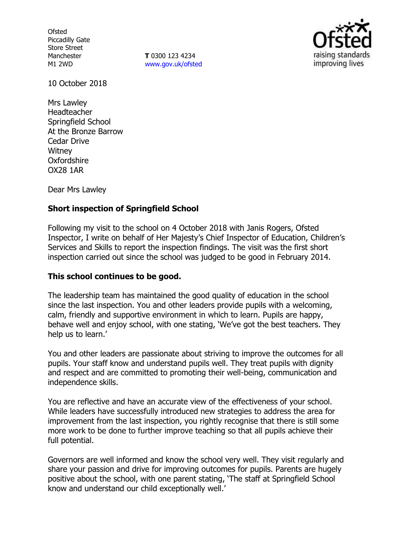**Ofsted** Piccadilly Gate Store Street Manchester M1 2WD

**T** 0300 123 4234 www.gov.uk/ofsted



10 October 2018

Mrs Lawley Headteacher Springfield School At the Bronze Barrow Cedar Drive **Witney Oxfordshire** OX28 1AR

Dear Mrs Lawley

# **Short inspection of Springfield School**

Following my visit to the school on 4 October 2018 with Janis Rogers, Ofsted Inspector, I write on behalf of Her Majesty's Chief Inspector of Education, Children's Services and Skills to report the inspection findings. The visit was the first short inspection carried out since the school was judged to be good in February 2014.

### **This school continues to be good.**

The leadership team has maintained the good quality of education in the school since the last inspection. You and other leaders provide pupils with a welcoming, calm, friendly and supportive environment in which to learn. Pupils are happy, behave well and enjoy school, with one stating, 'We've got the best teachers. They help us to learn.'

You and other leaders are passionate about striving to improve the outcomes for all pupils. Your staff know and understand pupils well. They treat pupils with dignity and respect and are committed to promoting their well-being, communication and independence skills.

You are reflective and have an accurate view of the effectiveness of your school. While leaders have successfully introduced new strategies to address the area for improvement from the last inspection, you rightly recognise that there is still some more work to be done to further improve teaching so that all pupils achieve their full potential.

Governors are well informed and know the school very well. They visit regularly and share your passion and drive for improving outcomes for pupils. Parents are hugely positive about the school, with one parent stating, 'The staff at Springfield School know and understand our child exceptionally well.'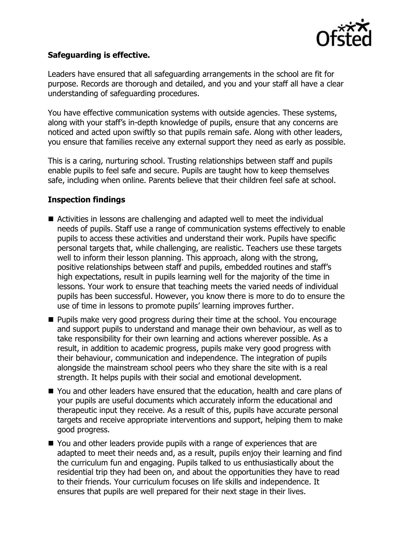

# **Safeguarding is effective.**

Leaders have ensured that all safeguarding arrangements in the school are fit for purpose. Records are thorough and detailed, and you and your staff all have a clear understanding of safeguarding procedures.

You have effective communication systems with outside agencies. These systems, along with your staff's in-depth knowledge of pupils, ensure that any concerns are noticed and acted upon swiftly so that pupils remain safe. Along with other leaders, you ensure that families receive any external support they need as early as possible.

This is a caring, nurturing school. Trusting relationships between staff and pupils enable pupils to feel safe and secure. Pupils are taught how to keep themselves safe, including when online. Parents believe that their children feel safe at school.

# **Inspection findings**

- Activities in lessons are challenging and adapted well to meet the individual needs of pupils. Staff use a range of communication systems effectively to enable pupils to access these activities and understand their work. Pupils have specific personal targets that, while challenging, are realistic. Teachers use these targets well to inform their lesson planning. This approach, along with the strong, positive relationships between staff and pupils, embedded routines and staff's high expectations, result in pupils learning well for the majority of the time in lessons. Your work to ensure that teaching meets the varied needs of individual pupils has been successful. However, you know there is more to do to ensure the use of time in lessons to promote pupils' learning improves further.
- **Pupils make very good progress during their time at the school. You encourage** and support pupils to understand and manage their own behaviour, as well as to take responsibility for their own learning and actions wherever possible. As a result, in addition to academic progress, pupils make very good progress with their behaviour, communication and independence. The integration of pupils alongside the mainstream school peers who they share the site with is a real strength. It helps pupils with their social and emotional development.
- You and other leaders have ensured that the education, health and care plans of your pupils are useful documents which accurately inform the educational and therapeutic input they receive. As a result of this, pupils have accurate personal targets and receive appropriate interventions and support, helping them to make good progress.
- You and other leaders provide pupils with a range of experiences that are adapted to meet their needs and, as a result, pupils enjoy their learning and find the curriculum fun and engaging. Pupils talked to us enthusiastically about the residential trip they had been on, and about the opportunities they have to read to their friends. Your curriculum focuses on life skills and independence. It ensures that pupils are well prepared for their next stage in their lives.